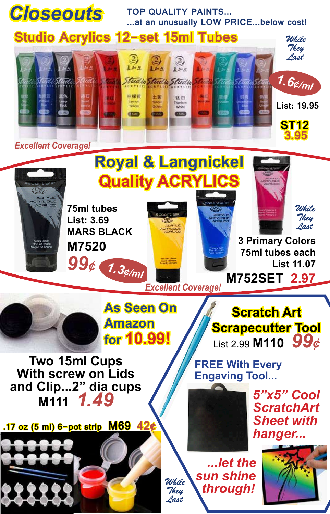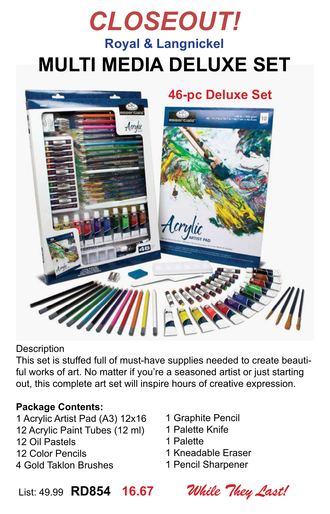## *CLOSEOUT!* **Royal & Langnickel MULTI MEDIA DELUXE SET**



**Description** 

This set is stuffed full of must-have supplies needed to create beautiful works of art. No matter if you're a seasoned artist or just starting out, this complete art set will inspire hours of creative expression.

#### **Package Contents:**

- 1 Acrylic Artist Pad (A3) 12x16 12 Acrylic Paint Tubes (12 ml) 12 Oil Pastels 12 Color Pencils 4 Gold Taklon Brushes
- 1 Graphite Pencil
- 1 Palette Knife
- 1 Palette
- 1 Kneadable Eraser
- 1 Pencil Sharpener

List: 49.99 **RD854 16.67** *While They Last!*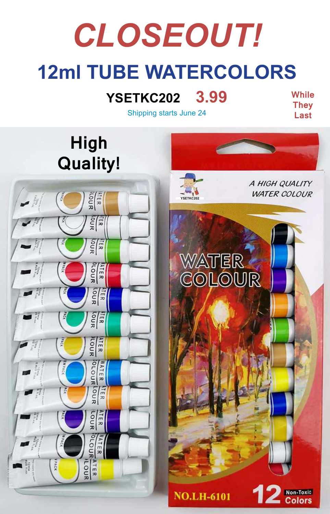# **12ml TUBE WATERCOLORS** *CLOSEOUT!*

### **YSETKC202 3.99**

**While They Last**

**Colors** 

Shipping starts June 24



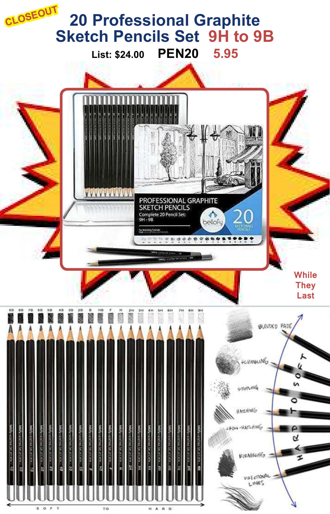### **20 Professional Graphite Sketch Pencils Set 9H to 9B List: \$24.00 PEN20 5.95 CLOSEOUT**



TO

H A R D